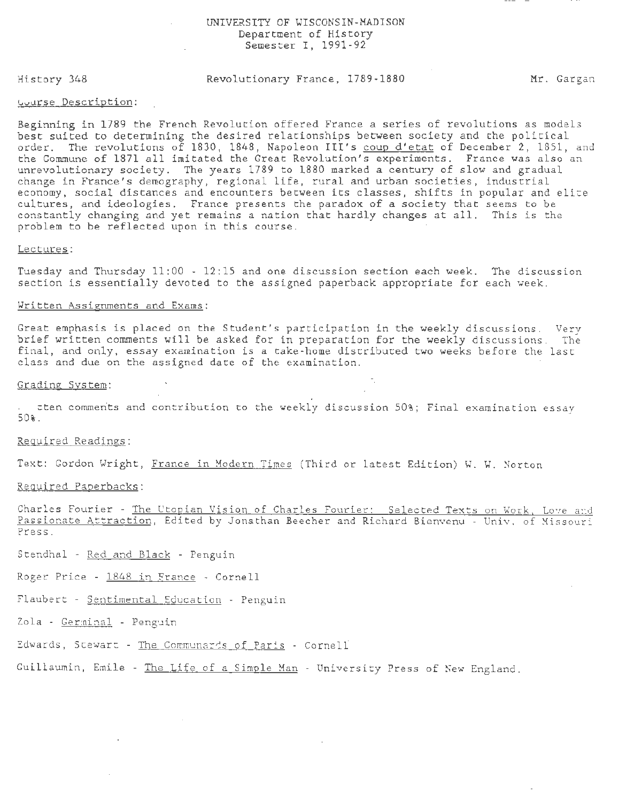#### UNIVERSITY OF WISCONSIN-MADISON Department of History Semester I, 1991 - 92

History 348

# Revolutionary France, 1789-1880 Mr. Gargan

#### ~vurse Description:

Beginning in 1789 the French Revolution offered France a series of revolutions as models best suited to determining the desired relationships between society and the political order. The revolutions of 1830, 1848, Napoleon III's coup d'etat of December 2, 1851, and the Commune of 1871 all imitated the Great Revolution's experiments. France was also an unrevolutionary society. The years 1789 to 1880 marked a century of slow and gradual change in France's demography, regional life, rural and urban societies, industrial economy, social distances and encounters between its classes, shifts in popular and elite cultures, and ideologies. France presents the paradox of a society that seems to be constantly changing and yet remains a nation that hardly changes at all. This is the problem to be reflected upon in this course.

# Lectures:

Tuesday and Thursday 11:00 - 12:15 and one discussion section each week. The discussion section is essentially devoted to the assigned paperback appropriate for each week.

### Written Assignments and Exams:

Great emphasis is placed on the Student's participation in the weekly discussions. Very brief written comments will be asked for in preparation for the weekly discussions. The final, and only, essay examination is a take-home distributed two weeks before the last class and due on the assigned date of the examination.

#### Grading System:

~ten comments and contribution to the weekly discussion 50%; Final examination essay 50%.

Required Readings:

Text: Gordon Wright, France in Modern Times (Third or latest Edition) W. W. Norton

Required Paperbacks:

Charles Fourier - The Utopian Vision of Charles Fourier: Selected Texts on Work, Love and Passionate Attraction, Edited by Jonathan Beecher and Richard Bienvenu - Univ. of Missouri Press.

Stendhal - Red and Black - Penguin

Roger Price - 1848 in France - Cornell

Flaubert - Sentimental Education - Penguin

Zola - Germinal - Penguin

Edwards, Stewart - The Communards of Paris - Cornell

Guillaumin, Emile - The Life of a Simple Man - University Press of New England.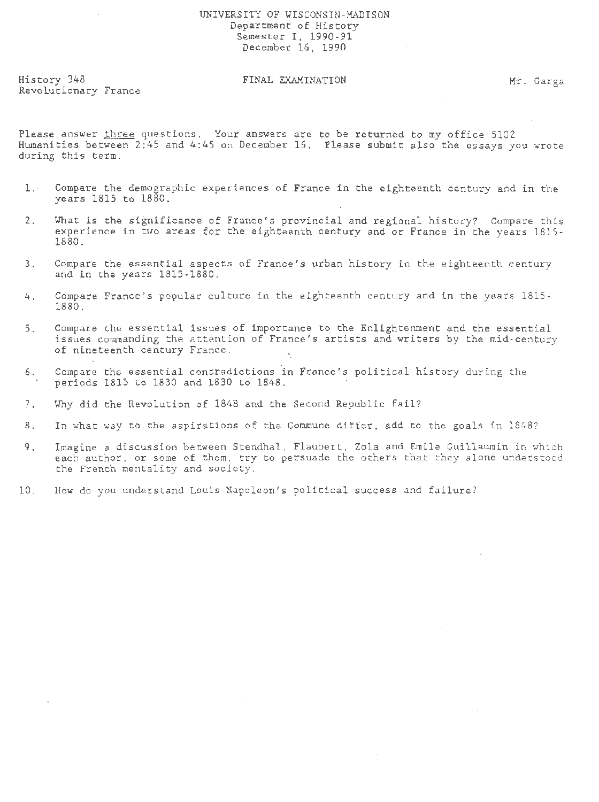# UNIVERSITY OF WISCONSIN-MADISON Department of History Semester I, 1990-91 December 16, 1990

History 348 Revolutionary France

# FINAL EXAMINATION Mr. Garga

Please answer three questions. Your answers are to be returned to my office 5102 Humanities between 2:45 and 4:45 on December 16. Please submit also the essays you wrote during this term.

- 1. Compare the demographic experiences of France in the eighteenth century and in the years 1815 to 1880.
- 2. What is the significance of France's provincial and regional history? Compare this experience in two areas for the eighteenth century and or France in the years 1815-1880.
- 3. Compare the essential aspects of France's urban history in the eighteenth century and in the years 1815-1880.
- 4 . Compare France's popular culture in the eighteenth century and in the years 1815- 1880.
- 5. Compare the essential issues of importance to the Enlightenment and the essential issues commanding the attention of France's artists and writers by the mid-century of nineteenth century France.
- 6. Compare the essential contradictions in France's political history during the periods 1815 to 1830 and 1830 to 1848.
- 7. Why did the Revolution of 1848 and the Second Republic fail?
- 8. In what way to the aspirations of the Commune differ, add to the goals in 1848?
- 9. Imagine a discussion between Stendhal, Flaubert, Zola and Emile Guillaumin in which each author, or some of them, try to persuade the others that they alone understood the French mentality and society.
- 10. How do you understand Louis Napoleon's political success and failure?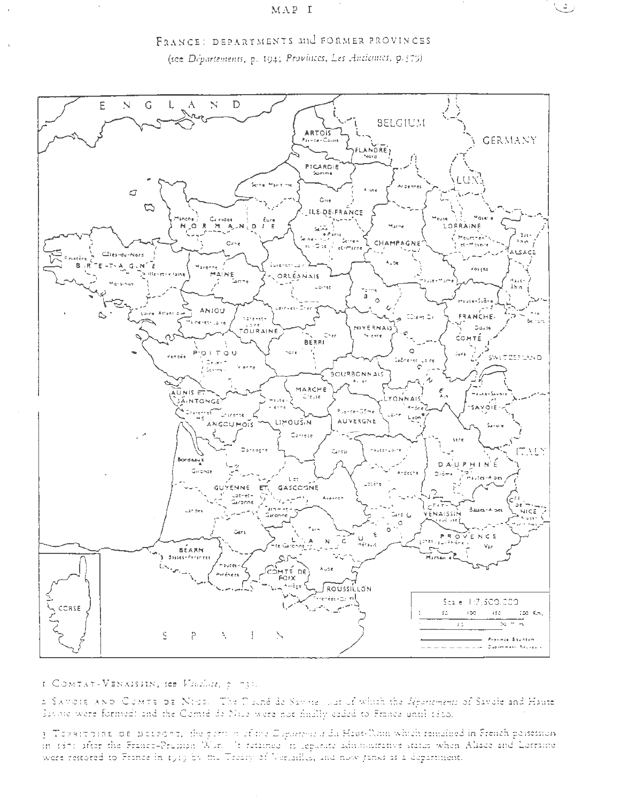



I COMTAT-VENAISSIN, see Flacillie, 2 (73).

2 SAVOIE AND COMTE DE NICE. The Duché de Savoie war of which the *départements* of Savoie and Haute Savoie were formed: and the Comté de Nille were not finally caded to France until 1850.

3 Teastroine of Metsony, the permin of the Department du Heut-Nam which remained in French pessession. in 1371 after the France-Pression Wor. It retained to legarate administrative status when Alsace and Lorraine were restored to France in 1919 by the Treaty of Verlailles, and now junks as a department.

ت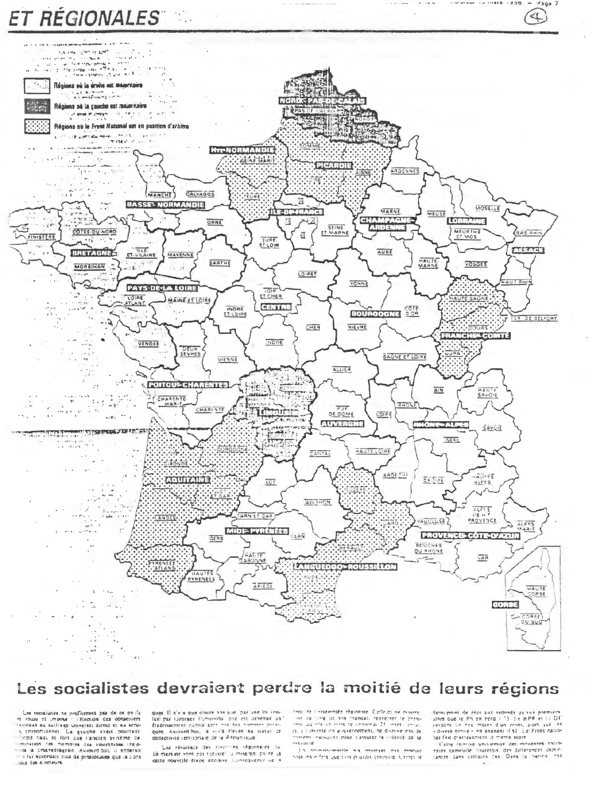

# Les socialistes devraient perdre la moitié de leurs régions

Les socialistes ne profiteront pas de ce qu'ils int vous et impose : l'élection des conseniers a proportionnel La gauche avait pourtant Transmitte in the second of the state of the state of the state of the state of the state of the state of the state of the state of the state of the state of the state of the state of the state of the state of the state of quest. Il n'e a que douze ani que, par une loi vouquel, Ausurd'hui, la villa devenue para de la finalisation de la finalisation de la finalisation de la finalisation de la finalisation de la finalisation de la finalisation de la finalisation de la finalisation de la final confectivité territoriale de la République

Les résaitats des rivers es régions es la mars ne vont pas facilités la mise les citire le rent ite i issemblée régionnie. Coffe di ne criticia that the line of the same manufacture in the contraction of the same of the same contraction of the same of the same contraction of the same contraction of the same contraction of the same contraction of the same contracti missens essignifs pour s'assurer la rivellité de la mavinte

In order the control of control and control roak les erfers que l'on playant criteine il erret le demijenint de elus sus seconds qu'ils prémiers<br>alors que le PS en nota l 10 de RPR et l L DIT<br>jestient un reu maint d'ain rrinn, alors que le<br>«divers armic » en esgnent il 51. Le Front nationai fait pratiquement le meme score.

d'ette receive uniformaté des movennes astrotantes dans certains cas. Dans ta Surine nar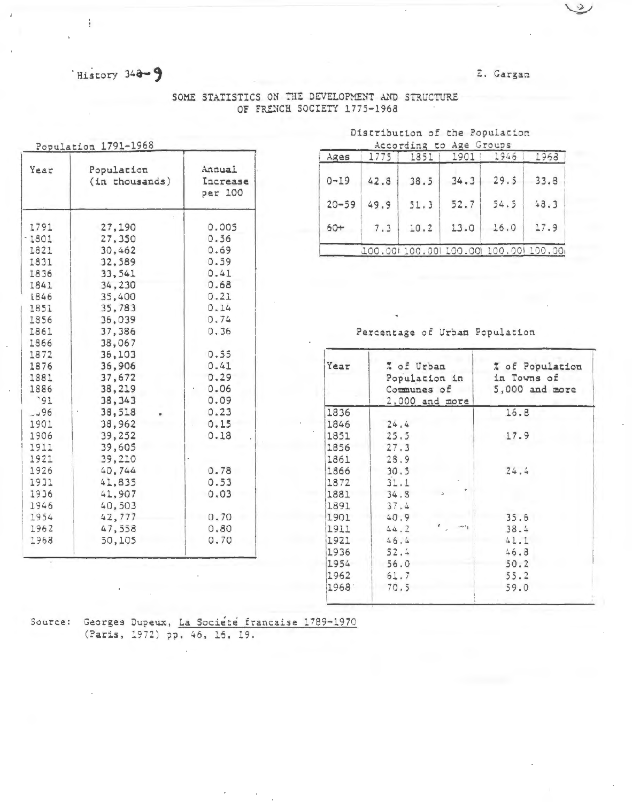History 348-9

ţ

E. Gargan

| Year         | Population       | Annual              |  |  |  |
|--------------|------------------|---------------------|--|--|--|
|              | (in thousands)   | Increase<br>per 100 |  |  |  |
| 1791         | 27,190           | 0.005               |  |  |  |
| $-1801$      | 27,350           | 0.56                |  |  |  |
| 1821         | 30,462           | 0.69                |  |  |  |
| 1831         | 32,589           | 0.59                |  |  |  |
| 1836         | 33,541           | 0.41                |  |  |  |
| 1841         | 34,230           | 0.68                |  |  |  |
| L846         | 35,400           | 0.21                |  |  |  |
| 1851         | 35,783           | 0.14                |  |  |  |
| 1856         | 36,039           | 0.74                |  |  |  |
| 1861         | 37,386           | 0.36                |  |  |  |
| 1866<br>1872 | 38,067<br>36,103 | 0.55                |  |  |  |
| 1876         | 36,906           | 0.41                |  |  |  |
| 1881         | 37,672           | 0.29                |  |  |  |
| 1886         | 38,219           | 0.06                |  |  |  |
| .91          | 38, 343          | 0.09                |  |  |  |
| $-196$       | 38,518           | 0.23                |  |  |  |
| 1901         | 38,962           | 0.15                |  |  |  |
| 1906         | 39,252           | 0.18                |  |  |  |
| 1911         | 39,605           |                     |  |  |  |
| 1921         | 39,210           |                     |  |  |  |
| 1926         | 40,744           | 0.78                |  |  |  |
| 1931         | 41,835           | 0.53                |  |  |  |
| 1936         | 41,907           | 0.03                |  |  |  |
| 1946         | 40,503           |                     |  |  |  |
| 1954         | 42,777           | 0.70                |  |  |  |
| 1962         | 47,558           | 0.80                |  |  |  |
| 1968         | 50,105           | 0.70                |  |  |  |

SOME STATISTICS ON THE DEVELOPMENT AND STRUCTURE OF FRENCH SOCIETY 1775-1968

> Discribucion of the Population Sconfine to Jap Croune

| Ages      | 1775 | 1851 | 1901 | 1946                                    | 1968 |
|-----------|------|------|------|-----------------------------------------|------|
| $0 - 19$  | 42.8 | 38.5 | 34.3 | 29.5                                    | 33.8 |
| $20 - 59$ | 49.9 | 51.3 | 52.7 | 54.5                                    | 48.3 |
| $60+$     | 7.3  | 10.2 | 13.0 | 16.0                                    | 17.9 |
|           |      |      |      | 100.00! 100.00! 100.00! 100.00! 100.00! |      |

Percentage of Urban Population

| Year | % of Urban<br>Population in<br>Communes of<br>$2,000$ and more | % of Population<br>in Towns of<br>$5,000$ and more |  |  |  |  |
|------|----------------------------------------------------------------|----------------------------------------------------|--|--|--|--|
| 1836 |                                                                | 16.8                                               |  |  |  |  |
| 1846 | 24.4                                                           |                                                    |  |  |  |  |
| 1851 | 25.5                                                           | 17.9                                               |  |  |  |  |
| 1856 | 27.3                                                           |                                                    |  |  |  |  |
| 1861 | 28.9                                                           |                                                    |  |  |  |  |
| 1866 | 30.5                                                           | 24.4                                               |  |  |  |  |
| 1872 | 31.1                                                           |                                                    |  |  |  |  |
| 1881 | 34.8                                                           |                                                    |  |  |  |  |
| 1891 | 37.4                                                           |                                                    |  |  |  |  |
| 1901 | 40.9                                                           | 35.6                                               |  |  |  |  |
| 1911 | $\epsilon$ , and<br>44.2                                       | 38.4                                               |  |  |  |  |
| 1921 | 46.4                                                           | 41.1                                               |  |  |  |  |
| 1936 | 52.4                                                           | 46.8                                               |  |  |  |  |
| 1954 | 56.0                                                           | 50.2                                               |  |  |  |  |
| 1962 | 61.7                                                           | 55.2                                               |  |  |  |  |
| 1968 | 70.5                                                           | 59.0                                               |  |  |  |  |

Source: Georges Dupeux, La Société francaise 1789-1970<br>(Paris, 1972) pp. 46, 16, 19.

 $\mathbb{R}$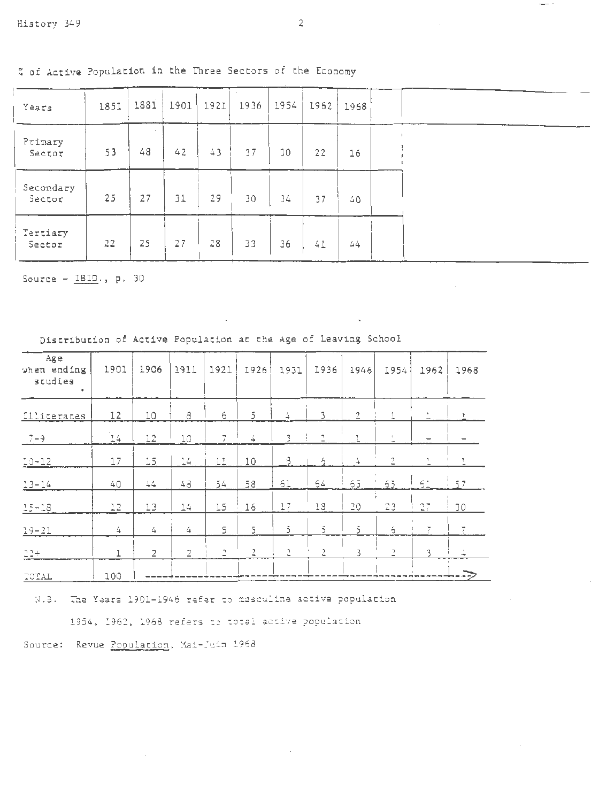% of Active Population in the Three Sectors of the Economy

| Years               | 1851 | 1881 | 1901 | 1921 | 1936 | 1954 | 1962 | 1968 |
|---------------------|------|------|------|------|------|------|------|------|
| Primary<br>Sector   | 53   | 48   | 42   | 43   | 37   | 30   | 22   | 16   |
| Secondary<br>Sector | 25   | 27   | 31   | 29   | 30   | 34   | 37   | 40   |
| Tertiary<br>Sector  | 22   | 25   | 27   | 28   | 33   | 36   | 41   | 44   |

Source -  $IBID.$ , p. 30

| Age<br>when ending<br>studies<br>$\bullet$ | 1901          | 1906           | 1911           | 1921               | 1926           | 1931                           | 1936                 | 1946              | 1954           | 1962           | 1968 |
|--------------------------------------------|---------------|----------------|----------------|--------------------|----------------|--------------------------------|----------------------|-------------------|----------------|----------------|------|
| <b>Illiterates</b>                         | 12            | 10             | $\delta$       | 6                  | 5              | $\overset{f}{\rightharpoonup}$ | 3                    | $\overline{2}$    |                |                |      |
| $7 - 9$                                    | $\mathbb{L}4$ | 12             | <b>LO</b>      | 7                  | 4              | 3                              | $\mathbb{C}$         | ı                 | $\overline{a}$ |                |      |
| $10 - 12$                                  | 17            | $-5$           | $-4$           | 11                 | 10             | 8                              | $\acute{\mathrm{z}}$ | $\stackrel{'}{+}$ | 2              | $\overline{a}$ |      |
| $13 - 14$                                  | 40            | $44$           | 48             | 54                 | 58             | 61                             | $54$                 | ó5                | $5\bar{5}$     | $51 \t37$      |      |
| $15 - 18$                                  | 22            | 13             | 14             | 15                 | 16             | 17                             | 13                   | 20                | 23             | 27             | 30   |
| $19 - 21$                                  | 4             | 4              | 4              | 5                  | 5              | $\tilde{\mathbf{J}}$           | $\overline{5}$       | $\overline{5}$    | $\ddot{\circ}$ | 7              | 7.   |
| $22 +$                                     | I             | $\overline{2}$ | $\overline{2}$ | $\hat{\mathbf{r}}$ | $\overline{a}$ | $\sqrt{2}$                     | $\tilde{c}$          | 3                 | $\overline{a}$ | 3              | ú.   |
| TOTAL                                      | 100           |                |                |                    |                |                                |                      |                   |                |                |      |

Distribution of Active Population at the Age of Leaving School

N.3. The Years 1901-1946 refer to masculine active population

1954, 1962, 1968 refers to total active population

Source: Revue Population, Mai-Juin 1968